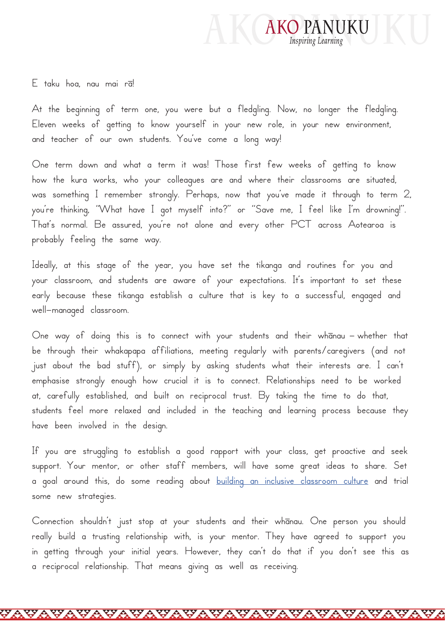

E taku hoa, nau mai rā!

At the beginning of term one, you were but a fledgling. Now, no longer the fledgling. Eleven weeks of getting to know yourself in your new role, in your new environment, and teacher of our own students. You've come a long way!

One term down and what a term it was! Those first few weeks of getting to know how the kura works, who your colleagues are and where their classrooms are situated, was something I remember strongly. Perhaps, now that you've made it through to term 2, you're thinking, "What have I got myself into?" or "Save me, I feel like I'm drowning!". That's normal. Be assured, you're not alone and every other PCT across Aotearoa is probably feeling the same way.

Ideally, at this stage of the year, you have set the tikanga and routines for you and your classroom, and students are aware of your expectations. It's important to set these early because these tikanga establish a culture that is key to a successful, engaged and well-managed classroom.

One way of doing this is to connect with your students and their whanau – whether that be through their whakapapa affiliations, meeting regularly with parents/caregivers (and not just about the bad stuff), or simply by asking students what their interests are. I can't emphasise strongly enough how crucial it is to connect. Relationships need to be worked at, carefully established, and built on reciprocal trust. By taking the time to do that, students feel more relaxed and included in the teaching and learning process because they have been involved in the design.

If you are struggling to establish a good rapport with your class, get proactive and seek support. Your mentor, or other staff members, will have some great ideas to share. Set a goal around this, do some reading about [building an inclusive classroom culture](https://www.inclusive.tki.org.nz/guides/developing-an-inclusive-classroom-culture/) and trial some new strategies.

Connection shouldn't just stop at your students and their whānau. One person you should really build a trusting relationship with, is your mentor. They have agreed to support you in getting through your initial years. However, they can't do that if you don't see this as a reciprocal relationship. That means giving as well as receiving.

VAVAVAVAVA